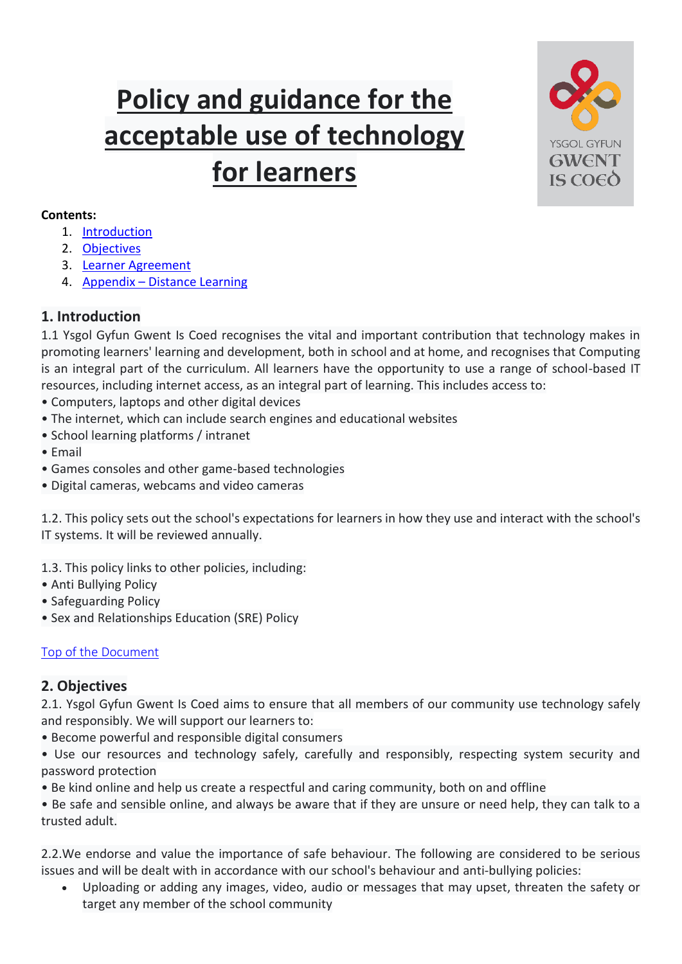# <span id="page-0-2"></span>**Policy and guidance for the acceptable use of technology for learners**



#### **Contents:**

- 1. [Introduction](#page-0-0)
- 2. [Objectives](#page-0-1)
- 3. [Learner Agreement](#page-2-0)
- 4. Appendix [Distance Learning](#page-3-0)

## <span id="page-0-0"></span>**1. Introduction**

1.1 Ysgol Gyfun Gwent Is Coed recognises the vital and important contribution that technology makes in promoting learners' learning and development, both in school and at home, and recognises that Computing is an integral part of the curriculum. All learners have the opportunity to use a range of school-based IT resources, including internet access, as an integral part of learning. This includes access to:

- Computers, laptops and other digital devices
- The internet, which can include search engines and educational websites
- School learning platforms / intranet
- Email
- Games consoles and other game-based technologies
- Digital cameras, webcams and video cameras

1.2. This policy sets out the school's expectations for learners in how they use and interact with the school's IT systems. It will be reviewed annually.

- 1.3. This policy links to other policies, including:
- Anti Bullying Policy
- Safeguarding Policy
- Sex and Relationships Education (SRE) Policy

## [Top of the Document](#page-0-2)

## <span id="page-0-1"></span>**2. Objectives**

2.1. Ysgol Gyfun Gwent Is Coed aims to ensure that all members of our community use technology safely and responsibly. We will support our learners to:

- Become powerful and responsible digital consumers
- Use our resources and technology safely, carefully and responsibly, respecting system security and password protection
- Be kind online and help us create a respectful and caring community, both on and offline

• Be safe and sensible online, and always be aware that if they are unsure or need help, they can talk to a trusted adult.

2.2.We endorse and value the importance of safe behaviour. The following are considered to be serious issues and will be dealt with in accordance with our school's behaviour and anti-bullying policies:

 Uploading or adding any images, video, audio or messages that may upset, threaten the safety or target any member of the school community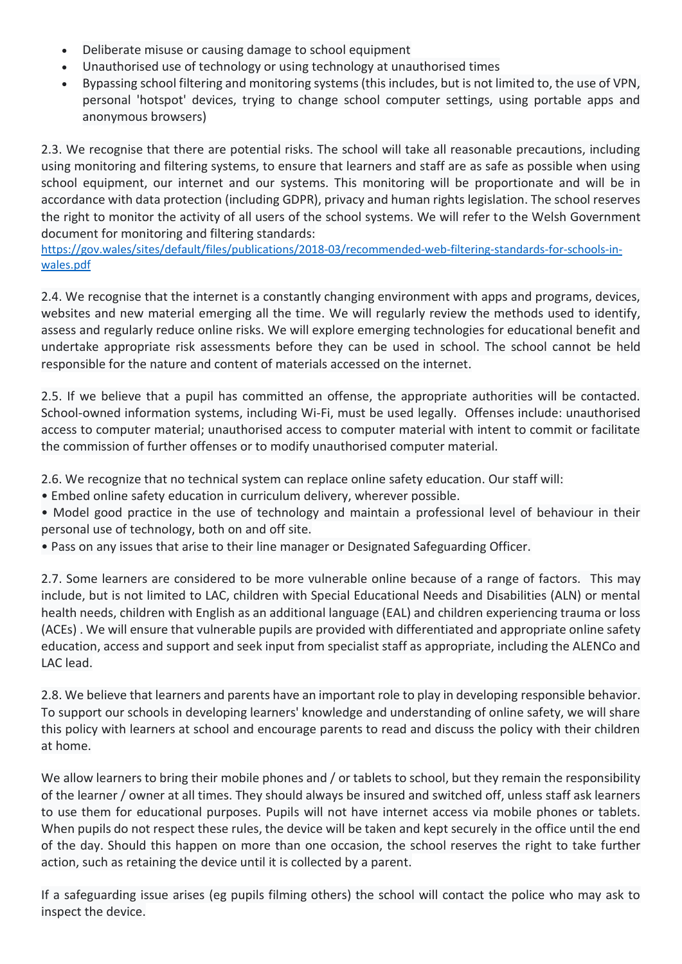- Deliberate misuse or causing damage to school equipment
- Unauthorised use of technology or using technology at unauthorised times
- Bypassing school filtering and monitoring systems (this includes, but is not limited to, the use of VPN, personal 'hotspot' devices, trying to change school computer settings, using portable apps and anonymous browsers)

2.3. We recognise that there are potential risks. The school will take all reasonable precautions, including using monitoring and filtering systems, to ensure that learners and staff are as safe as possible when using school equipment, our internet and our systems. This monitoring will be proportionate and will be in accordance with data protection (including GDPR), privacy and human rights legislation. The school reserves the right to monitor the activity of all users of the school systems. We will refer to the Welsh Government document for monitoring and filtering standards:

[https://gov.wales/sites/default/files/publications/2018-03/recommended-web-filtering-standards-for-schools-in](https://eur03.safelinks.protection.outlook.com/?url=https%3A%2F%2Fgov.wales%2Fsites%2Fdefault%2Ffiles%2Fpublications%2F2018-03%2Frecommended-web-filtering-standards-for-schools-in-wales.pdf&data=02%7C01%7Cabigail.williams%40newport.gov.uk%7C96154e8842a045b429d908d7e785ea17%7C2c4d0079c52c4bb3b3cad8eaf1b6b7d5%7C0%7C1%7C637232434654934389&sdata=4ILAgcYlncYtmtT6FJ3CwdbhP6p%2F3kXnJEIGOsDS7io%3D&reserved=0)[wales.pdf](https://eur03.safelinks.protection.outlook.com/?url=https%3A%2F%2Fgov.wales%2Fsites%2Fdefault%2Ffiles%2Fpublications%2F2018-03%2Frecommended-web-filtering-standards-for-schools-in-wales.pdf&data=02%7C01%7Cabigail.williams%40newport.gov.uk%7C96154e8842a045b429d908d7e785ea17%7C2c4d0079c52c4bb3b3cad8eaf1b6b7d5%7C0%7C1%7C637232434654934389&sdata=4ILAgcYlncYtmtT6FJ3CwdbhP6p%2F3kXnJEIGOsDS7io%3D&reserved=0)

2.4. We recognise that the internet is a constantly changing environment with apps and programs, devices, websites and new material emerging all the time. We will regularly review the methods used to identify, assess and regularly reduce online risks. We will explore emerging technologies for educational benefit and undertake appropriate risk assessments before they can be used in school. The school cannot be held responsible for the nature and content of materials accessed on the internet.

2.5. If we believe that a pupil has committed an offense, the appropriate authorities will be contacted. School-owned information systems, including Wi-Fi, must be used legally. Offenses include: unauthorised access to computer material; unauthorised access to computer material with intent to commit or facilitate the commission of further offenses or to modify unauthorised computer material.

2.6. We recognize that no technical system can replace online safety education. Our staff will:

- Embed online safety education in curriculum delivery, wherever possible.
- Model good practice in the use of technology and maintain a professional level of behaviour in their personal use of technology, both on and off site.
- Pass on any issues that arise to their line manager or Designated Safeguarding Officer.

2.7. Some learners are considered to be more vulnerable online because of a range of factors. This may include, but is not limited to LAC, children with Special Educational Needs and Disabilities (ALN) or mental health needs, children with English as an additional language (EAL) and children experiencing trauma or loss (ACEs) . We will ensure that vulnerable pupils are provided with differentiated and appropriate online safety education, access and support and seek input from specialist staff as appropriate, including the ALENCo and LAC lead.

2.8. We believe that learners and parents have an important role to play in developing responsible behavior. To support our schools in developing learners' knowledge and understanding of online safety, we will share this policy with learners at school and encourage parents to read and discuss the policy with their children at home.

We allow learners to bring their mobile phones and / or tablets to school, but they remain the responsibility of the learner / owner at all times. They should always be insured and switched off, unless staff ask learners to use them for educational purposes. Pupils will not have internet access via mobile phones or tablets. When pupils do not respect these rules, the device will be taken and kept securely in the office until the end of the day. Should this happen on more than one occasion, the school reserves the right to take further action, such as retaining the device until it is collected by a parent.

If a safeguarding issue arises (eg pupils filming others) the school will contact the police who may ask to inspect the device.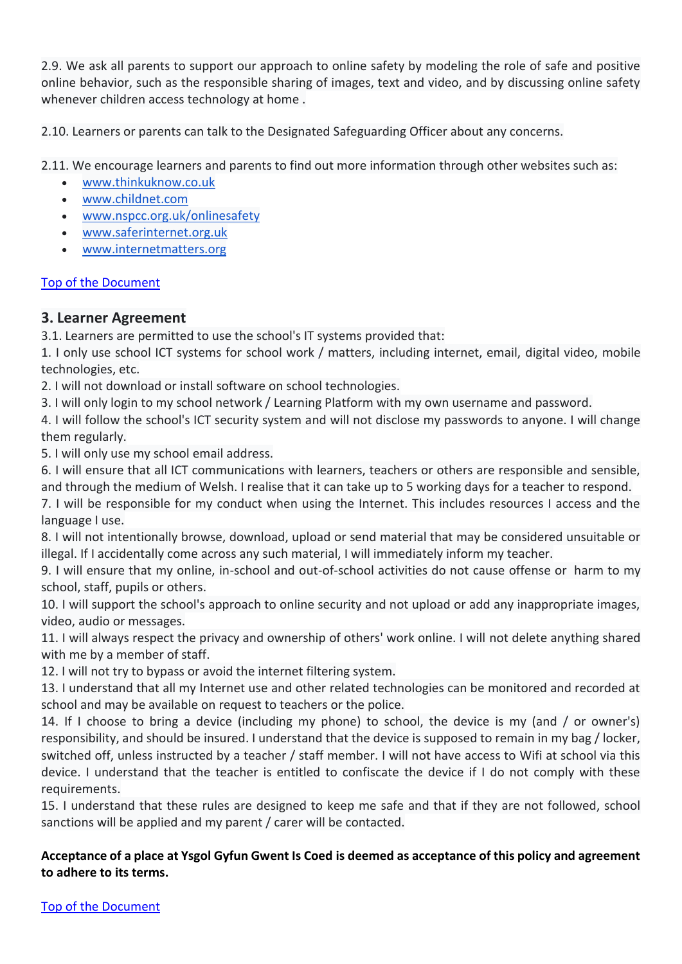2.9. We ask all parents to support our approach to online safety by modeling the role of safe and positive online behavior, such as the responsible sharing of images, text and video, and by discussing online safety whenever children access technology at home .

2.10. Learners or parents can talk to the Designated Safeguarding Officer about any concerns.

2.11. We encourage learners and parents to find out more information through other websites such as:

- [www.thinkuknow.co.uk](http://www.thinkuknow.co.uk/)
- [www.childnet.com](http://www.childnet.com/)
- [www.nspcc.org.uk/onlinesafety](http://www.nspcc.org.uk/onlinesafety)
- [www.saferinternet.org.uk](http://www.saferinternet.org.uk/)
- [www.internetmatters.org](http://www.internetmatters.org/)

#### [Top of the Document](#page-0-2)

#### <span id="page-2-0"></span>**3. Learner Agreement**

3.1. Learners are permitted to use the school's IT systems provided that:

1. I only use school ICT systems for school work / matters, including internet, email, digital video, mobile technologies, etc.

2. I will not download or install software on school technologies.

3. I will only login to my school network / Learning Platform with my own username and password.

4. I will follow the school's ICT security system and will not disclose my passwords to anyone. I will change them regularly.

5. I will only use my school email address.

6. I will ensure that all ICT communications with learners, teachers or others are responsible and sensible, and through the medium of Welsh. I realise that it can take up to 5 working days for a teacher to respond.

7. I will be responsible for my conduct when using the Internet. This includes resources I access and the language I use.

8. I will not intentionally browse, download, upload or send material that may be considered unsuitable or illegal. If I accidentally come across any such material, I will immediately inform my teacher.

9. I will ensure that my online, in-school and out-of-school activities do not cause offense or harm to my school, staff, pupils or others.

10. I will support the school's approach to online security and not upload or add any inappropriate images, video, audio or messages.

11. I will always respect the privacy and ownership of others' work online. I will not delete anything shared with me by a member of staff.

12. I will not try to bypass or avoid the internet filtering system.

13. I understand that all my Internet use and other related technologies can be monitored and recorded at school and may be available on request to teachers or the police.

14. If I choose to bring a device (including my phone) to school, the device is my (and / or owner's) responsibility, and should be insured. I understand that the device is supposed to remain in my bag / locker, switched off, unless instructed by a teacher / staff member. I will not have access to Wifi at school via this device. I understand that the teacher is entitled to confiscate the device if I do not comply with these requirements.

15. I understand that these rules are designed to keep me safe and that if they are not followed, school sanctions will be applied and my parent / carer will be contacted.

#### **Acceptance of a place at Ysgol Gyfun Gwent Is Coed is deemed as acceptance of this policy and agreement to adhere to its terms.**